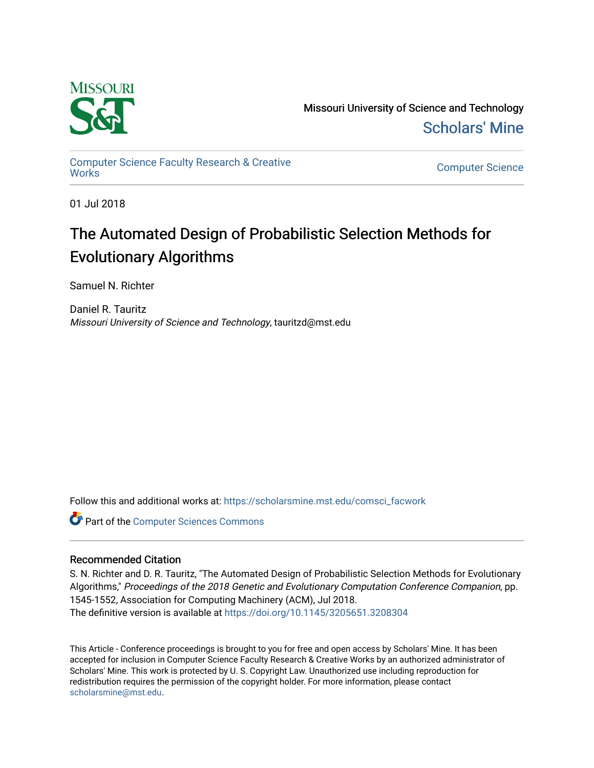

Missouri University of Science and Technology [Scholars' Mine](https://scholarsmine.mst.edu/) 

[Computer Science Faculty Research & Creative](https://scholarsmine.mst.edu/comsci_facwork) 

**Computer Science** 

01 Jul 2018

# The Automated Design of Probabilistic Selection Methods for Evolutionary Algorithms

Samuel N. Richter

Daniel R. Tauritz Missouri University of Science and Technology, tauritzd@mst.edu

Follow this and additional works at: [https://scholarsmine.mst.edu/comsci\\_facwork](https://scholarsmine.mst.edu/comsci_facwork?utm_source=scholarsmine.mst.edu%2Fcomsci_facwork%2F576&utm_medium=PDF&utm_campaign=PDFCoverPages) 

**Part of the [Computer Sciences Commons](http://network.bepress.com/hgg/discipline/142?utm_source=scholarsmine.mst.edu%2Fcomsci_facwork%2F576&utm_medium=PDF&utm_campaign=PDFCoverPages)** 

## Recommended Citation

S. N. Richter and D. R. Tauritz, "The Automated Design of Probabilistic Selection Methods for Evolutionary Algorithms," Proceedings of the 2018 Genetic and Evolutionary Computation Conference Companion, pp. 1545-1552, Association for Computing Machinery (ACM), Jul 2018. The definitive version is available at <https://doi.org/10.1145/3205651.3208304>

This Article - Conference proceedings is brought to you for free and open access by Scholars' Mine. It has been accepted for inclusion in Computer Science Faculty Research & Creative Works by an authorized administrator of Scholars' Mine. This work is protected by U. S. Copyright Law. Unauthorized use including reproduction for redistribution requires the permission of the copyright holder. For more information, please contact [scholarsmine@mst.edu.](mailto:scholarsmine@mst.edu)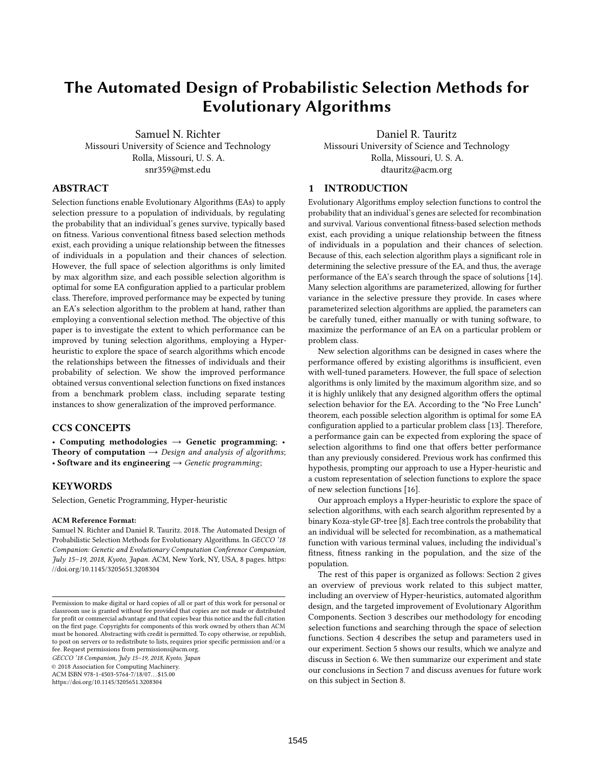## The Automated Design of Probabilistic Selection Methods for Evolutionary Algorithms

Samuel N. Richter Missouri University of Science and Technology Rolla, Missouri, U. S. A. snr359@mst.edu

Daniel R. Tauritz Missouri University of Science and Technology Rolla, Missouri, U. S. A. dtauritz@acm.org

## ABSTRACT

Selection functions enable Evolutionary Algorithms (EAs) to apply selection pressure to a population of individuals, by regulating the probability that an individual's genes survive, typically based on fitness. Various conventional fitness based selection methods exist, each providing a unique relationship between the fitnesses of individuals in a population and their chances of selection. However, the full space of selection algorithms is only limited by max algorithm size, and each possible selection algorithm is optimal for some EA configuration applied to a particular problem class. Therefore, improved performance may be expected by tuning an EA's selection algorithm to the problem at hand, rather than employing a conventional selection method. The objective of this paper is to investigate the extent to which performance can be improved by tuning selection algorithms, employing a Hyperheuristic to explore the space of search algorithms which encode the relationships between the fitnesses of individuals and their probability of selection. We show the improved performance obtained versus conventional selection functions on fixed instances from a benchmark problem class, including separate testing instances to show generalization of the improved performance.

## CCS CONCEPTS

• Computing methodologies  $\rightarrow$  Genetic programming; Theory of computation  $\rightarrow$  Design and analysis of algorithms; • Software and its engineering  $\rightarrow$  Genetic programming;

#### **KEYWORDS**

Selection, Genetic Programming, Hyper-heuristic

#### ACM Reference Format:

Samuel N. Richter and Daniel R. Tauritz. 2018. The Automated Design of Probabilistic Selection Methods for Evolutionary Algorithms. In GECCO '18 Companion: Genetic and Evolutionary Computation Conference Companion, July 15–19, 2018, Kyoto, Japan. ACM, New York, NY, USA, [8](#page-8-0) pages. [https:](https://doi.org/10.1145/3205651.3208304) [//doi.org/10.1145/3205651.3208304](https://doi.org/10.1145/3205651.3208304)

GECCO '18 Companion, July 15–19, 2018, Kyoto, Japan

© 2018 Association for Computing Machinery.

ACM ISBN 978-1-4503-5764-7/18/07. . . \$15.00

<https://doi.org/10.1145/3205651.3208304>

#### 1 INTRODUCTION

Evolutionary Algorithms employ selection functions to control the probability that an individual's genes are selected for recombination and survival. Various conventional fitness-based selection methods exist, each providing a unique relationship between the fitness of individuals in a population and their chances of selection. Because of this, each selection algorithm plays a significant role in determining the selective pressure of the EA, and thus, the average performance of the EA's search through the space of solutions [\[14\]](#page-8-1). Many selection algorithms are parameterized, allowing for further variance in the selective pressure they provide. In cases where parameterized selection algorithms are applied, the parameters can be carefully tuned, either manually or with tuning software, to maximize the performance of an EA on a particular problem or problem class.

New selection algorithms can be designed in cases where the performance offered by existing algorithms is insufficient, even with well-tuned parameters. However, the full space of selection algorithms is only limited by the maximum algorithm size, and so it is highly unlikely that any designed algorithm offers the optimal selection behavior for the EA. According to the "No Free Lunch" theorem, each possible selection algorithm is optimal for some EA configuration applied to a particular problem class [\[13\]](#page-8-2). Therefore, a performance gain can be expected from exploring the space of selection algorithms to find one that offers better performance than any previously considered. Previous work has confirmed this hypothesis, prompting our approach to use a Hyper-heuristic and a custom representation of selection functions to explore the space of new selection functions [\[16\]](#page-8-3).

Our approach employs a Hyper-heuristic to explore the space of selection algorithms, with each search algorithm represented by a binary Koza-style GP-tree [\[8\]](#page-8-4). Each tree controls the probability that an individual will be selected for recombination, as a mathematical function with various terminal values, including the individual's fitness, fitness ranking in the population, and the size of the population.

The rest of this paper is organized as follows: Section [2](#page-2-0) gives an overview of previous work related to this subject matter, including an overview of Hyper-heuristics, automated algorithm design, and the targeted improvement of Evolutionary Algorithm Components. Section [3](#page-2-1) describes our methodology for encoding selection functions and searching through the space of selection functions. Section [4](#page-5-0) describes the setup and parameters used in our experiment. Section [5](#page-6-0) shows our results, which we analyze and discuss in Section [6.](#page-6-1) We then summarize our experiment and state our conclusions in Section [7](#page-8-5) and discuss avenues for future work on this subject in Section [8.](#page-8-6)

Permission to make digital or hard copies of all or part of this work for personal or classroom use is granted without fee provided that copies are not made or distributed for profit or commercial advantage and that copies bear this notice and the full citation on the first page. Copyrights for components of this work owned by others than ACM must be honored. Abstracting with credit is permitted. To copy otherwise, or republish, to post on servers or to redistribute to lists, requires prior specific permission and/or a fee. Request permissions from permissions@acm.org.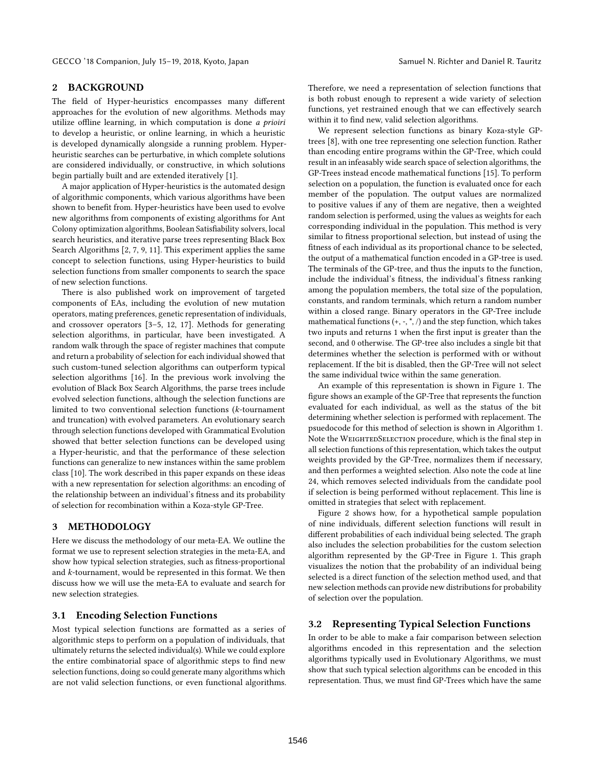GECCO '18 Companion, July 15–19, 2018, Kyoto, Japan Samuel N. Richter and Daniel R. Tauritz

### <span id="page-2-0"></span>2 BACKGROUND

The field of Hyper-heuristics encompasses many different approaches for the evolution of new algorithms. Methods may utilize offline learning, in which computation is done a prioiri to develop a heuristic, or online learning, in which a heuristic is developed dynamically alongside a running problem. Hyperheuristic searches can be perturbative, in which complete solutions are considered individually, or constructive, in which solutions begin partially built and are extended iteratively [\[1\]](#page-8-7).

A major application of Hyper-heuristics is the automated design of algorithmic components, which various algorithms have been shown to benefit from. Hyper-heuristics have been used to evolve new algorithms from components of existing algorithms for Ant Colony optimization algorithms, Boolean Satisfiability solvers, local search heuristics, and iterative parse trees representing Black Box Search Algorithms [\[2,](#page-8-8) [7,](#page-8-9) [9,](#page-8-10) [11\]](#page-8-11). This experiment applies the same concept to selection functions, using Hyper-heuristics to build selection functions from smaller components to search the space of new selection functions.

There is also published work on improvement of targeted components of EAs, including the evolution of new mutation operators, mating preferences, genetic representation of individuals, and crossover operators [\[3](#page-8-12)[–5,](#page-8-13) [12,](#page-8-14) [17\]](#page-8-15). Methods for generating selection algorithms, in particular, have been investigated. A random walk through the space of register machines that compute and return a probability of selection for each individual showed that such custom-tuned selection algorithms can outperform typical selection algorithms [\[16\]](#page-8-3). In the previous work involving the evolution of Black Box Search Algorithms, the parse trees include evolved selection functions, although the selection functions are limited to two conventional selection functions (k-tournament and truncation) with evolved parameters. An evolutionary search through selection functions developed with Grammatical Evolution showed that better selection functions can be developed using a Hyper-heuristic, and that the performance of these selection functions can generalize to new instances within the same problem class [\[10\]](#page-8-16). The work described in this paper expands on these ideas with a new representation for selection algorithms: an encoding of the relationship between an individual's fitness and its probability of selection for recombination within a Koza-style GP-Tree.

#### <span id="page-2-1"></span>3 METHODOLOGY

Here we discuss the methodology of our meta-EA. We outline the format we use to represent selection strategies in the meta-EA, and show how typical selection strategies, such as fitness-proportional and k-tournament, would be represented in this format. We then discuss how we will use the meta-EA to evaluate and search for new selection strategies.

#### <span id="page-2-2"></span>3.1 Encoding Selection Functions

Most typical selection functions are formatted as a series of algorithmic steps to perform on a population of individuals, that ultimately returns the selected individual(s). While we could explore the entire combinatorial space of algorithmic steps to find new selection functions, doing so could generate many algorithms which are not valid selection functions, or even functional algorithms. Therefore, we need a representation of selection functions that is both robust enough to represent a wide variety of selection functions, yet restrained enough that we can effectively search within it to find new, valid selection algorithms.

We represent selection functions as binary Koza-style GPtrees [\[8\]](#page-8-4), with one tree representing one selection function. Rather than encoding entire programs within the GP-Tree, which could result in an infeasably wide search space of selection algorithms, the GP-Trees instead encode mathematical functions [\[15\]](#page-8-17). To perform selection on a population, the function is evaluated once for each member of the population. The output values are normalized to positive values if any of them are negative, then a weighted random selection is performed, using the values as weights for each corresponding individual in the population. This method is very similar to fitness proportional selection, but instead of using the fitness of each individual as its proportional chance to be selected, the output of a mathematical function encoded in a GP-tree is used. The terminals of the GP-tree, and thus the inputs to the function, include the individual's fitness, the individual's fitness ranking among the population members, the total size of the population, constants, and random terminals, which return a random number within a closed range. Binary operators in the GP-Tree include mathematical functions  $(+, -, *, /)$  and the step function, which takes two inputs and returns 1 when the first input is greater than the second, and 0 otherwise. The GP-tree also includes a single bit that determines whether the selection is performed with or without replacement. If the bit is disabled, then the GP-Tree will not select the same individual twice within the same generation.

An example of this representation is shown in Figure [1.](#page-3-0) The figure shows an example of the GP-Tree that represents the function evaluated for each individual, as well as the status of the bit determining whether selection is performed with replacement. The psuedocode for this method of selection is shown in Algorithm [1.](#page-3-1) Note the WEIGHTEDSELECTION procedure, which is the final step in all selection functions of this representation, which takes the output weights provided by the GP-Tree, normalizes them if necessary, and then performes a weighted selection. Also note the code at line [24,](#page-3-1) which removes selected individuals from the candidate pool if selection is being performed without replacement. This line is omitted in strategies that select with replacement.

Figure [2](#page-3-2) shows how, for a hypothetical sample population of nine individuals, different selection functions will result in different probabilities of each individual being selected. The graph also includes the selection probabilities for the custom selection algorithm represented by the GP-Tree in Figure [1.](#page-3-0) This graph visualizes the notion that the probability of an individual being selected is a direct function of the selection method used, and that new selection methods can provide new distributions for probability of selection over the population.

#### 3.2 Representing Typical Selection Functions

In order to be able to make a fair comparison between selection algorithms encoded in this representation and the selection algorithms typically used in Evolutionary Algorithms, we must show that such typical selection algorithms can be encoded in this representation. Thus, we must find GP-Trees which have the same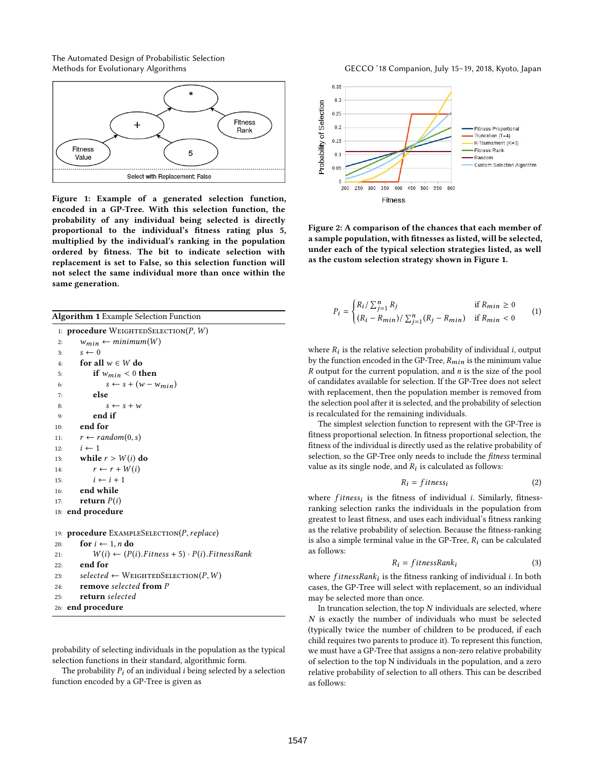The Automated Design of Probabilistic Selection Methods for Evolutionary Algorithms GECCO '18 Companion, July 15–19, 2018, Kyoto, Japan

<span id="page-3-0"></span>

Figure 1: Example of a generated selection function, encoded in a GP-Tree. With this selection function, the probability of any individual being selected is directly proportional to the individual's fitness rating plus 5, multiplied by the individual's ranking in the population ordered by fitness. The bit to indicate selection with replacement is set to False, so this selection function will not select the same individual more than once within the same generation.

<span id="page-3-1"></span>

| <b>Algorithm 1 Example Selection Function</b>                                                                                                                                                                                                                  |  |  |  |
|----------------------------------------------------------------------------------------------------------------------------------------------------------------------------------------------------------------------------------------------------------------|--|--|--|
| 1: <b>procedure</b> WEIGHTEDSELECTION( $P$ , $W$ )                                                                                                                                                                                                             |  |  |  |
| $w_{min} \leftarrow minimum(W)$<br>2:                                                                                                                                                                                                                          |  |  |  |
| $s \leftarrow 0$<br>3:                                                                                                                                                                                                                                         |  |  |  |
| for all $w \in W$ do<br>4:                                                                                                                                                                                                                                     |  |  |  |
| if $w_{min}$ < 0 then<br>5:                                                                                                                                                                                                                                    |  |  |  |
| $s \leftarrow s + (w - w_{min})$<br>6:                                                                                                                                                                                                                         |  |  |  |
| else<br>7:                                                                                                                                                                                                                                                     |  |  |  |
| $s \leftarrow s + w$<br>8:                                                                                                                                                                                                                                     |  |  |  |
| end if<br>9:                                                                                                                                                                                                                                                   |  |  |  |
| 10: end for                                                                                                                                                                                                                                                    |  |  |  |
| 11: $r \leftarrow random(0, s)$                                                                                                                                                                                                                                |  |  |  |
| 12: $i \leftarrow 1$                                                                                                                                                                                                                                           |  |  |  |
| 13: while $r > W(i)$ do                                                                                                                                                                                                                                        |  |  |  |
| $r \leftarrow r + W(i)$<br><b>14:</b> The same state of the state of the state of the state of the state of the state of the state of the state of the state of the state of the state of the state of the state of the state of the state of the state of the |  |  |  |
| $i \leftarrow i + 1$<br>15:                                                                                                                                                                                                                                    |  |  |  |
| 16: end while                                                                                                                                                                                                                                                  |  |  |  |
| return $P(i)$<br>17:                                                                                                                                                                                                                                           |  |  |  |
| 18: end procedure                                                                                                                                                                                                                                              |  |  |  |
| 19: <b>procedure</b> EXAMPLESELECTION(P, replace)                                                                                                                                                                                                              |  |  |  |
| for $i \leftarrow 1, n$ do<br>20:                                                                                                                                                                                                                              |  |  |  |
| $W(i) \leftarrow (P(i).Fitness + 5) \cdot P(i). FitnessRank$<br>21:                                                                                                                                                                                            |  |  |  |
| $22:$ end for                                                                                                                                                                                                                                                  |  |  |  |
| 23: selected $\leftarrow$ WEIGHTEDSELECTION(P, W)                                                                                                                                                                                                              |  |  |  |
| remove selected from P<br>24:                                                                                                                                                                                                                                  |  |  |  |
| <b>return</b> selected<br>25:                                                                                                                                                                                                                                  |  |  |  |
| 26: end procedure                                                                                                                                                                                                                                              |  |  |  |

probability of selecting individuals in the population as the typical selection functions in their standard, algorithmic form.

The probability  $P_i$  of an individual *i* being selected by a selection function encoded by a GP-Tree is given as

<span id="page-3-2"></span>0.35  $0.3$ Probability of Selection  $0.25$  $0<sub>2</sub>$ - Fitness Proportional Truncation (T=4)  $0.15$ K-Tournament (K=3) **Fitness Rank**  $0.1$ - Random

Custom Selection Algorithm



 $0.05$ 

Figure 2: A comparison of the chances that each member of a sample population, with fitnesses as listed, will be selected, under each of the typical selection strategies listed, as well as the custom selection strategy shown in Figure [1.](#page-3-0)

$$
P_{i} = \begin{cases} R_{i} / \sum_{j=1}^{n} R_{j} & \text{if } R_{min} \ge 0\\ (R_{i} - R_{min}) / \sum_{j=1}^{n} (R_{j} - R_{min}) & \text{if } R_{min} < 0 \end{cases} \tag{1}
$$

where  $R_i$  is the relative selection probability of individual *i*, output<br>by the function encoded in the GP-Tree,  $R_i$  is the minimum value by the function encoded in the GP-Tree,  $R_{min}$  is the minimum value  $R$  output for the current population, and  $n$  is the size of the pool of candidates available for selection. If the GP-Tree does not select with replacement, then the population member is removed from the selection pool after it is selected, and the probability of selection is recalculated for the remaining individuals.

The simplest selection function to represent with the GP-Tree is fitness proportional selection. In fitness proportional selection, the fitness of the individual is directly used as the relative probability of selection, so the GP-Tree only needs to include the fitness terminal value as its single node, and  $R_i$  is calculated as follows:

$$
R_i = fitness_i \tag{2}
$$

where  $fitness_i$  is the fitness of individual *i*. Similarly, fitness-<br>ranking selection ranks the individuals in the population from ranking selection ranks the individuals in the population from greatest to least fitness, and uses each individual's fitness ranking as the relative probability of selection. Because the fitness-ranking is also a simple terminal value in the GP-Tree,  $R_i$  can be calculated as follows:

$$
R_i = fitnessRank_i
$$
\n(3)

where  $fitnessank_i$  is the fitness ranking of individual *i*. In both cases, the GP-Tree will select with replacement, so an individual cases, the GP-Tree will select with replacement, so an individual may be selected more than once.

In truncation selection, the top  $N$  individuals are selected, where N is exactly the number of individuals who must be selected (typically twice the number of children to be produced, if each child requires two parents to produce it). To represent this function, we must have a GP-Tree that assigns a non-zero relative probability of selection to the top N individuals in the population, and a zero relative probability of selection to all others. This can be described as follows: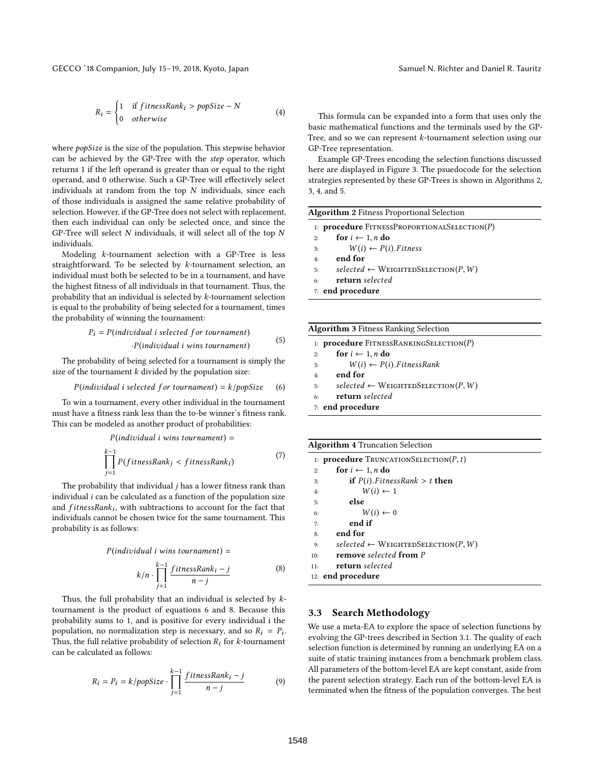GECCO '18 Companion, July 15-19, 2018, Kyoto, Japan Samuel N. Richter and Daniel R. Tauritz

$$
R_i = \begin{cases} 1 & \text{if fitnessRank}_i > popSize - N \\ 0 & otherwise \end{cases}
$$
 (4)

where *popSize* is the size of the population. This stepwise behavior can be achieved by the GP-Tree with the step operator, which returns 1 if the left operand is greater than or equal to the right operand, and 0 otherwise. Such a GP-Tree will effectively select individuals at random from the top  $N$  individuals, since each of those individuals is assigned the same relative probability of selection. However, if the GP-Tree does not select with replacement, then each individual can only be selected once, and since the GP-Tree will select  $N$  individuals, it will select all of the top  $N$ individuals.

Modeling k-tournament selection with a GP-Tree is less straightforward. To be selected by k-tournament selection, an individual must both be selected to be in a tournament, and have the highest fitness of all individuals in that tournament. Thus, the probability that an individual is selected by k-tournament selection is equal to the probability of being selected for a tournament, times the probability of winning the tournament:

$$
P_i = P(\text{individual is selected for tournament})
$$
  
.
$$
\cdot P(\text{individual } i \text{ wins tournament})
$$
 (5)

The probability of being selected for a tournament is simply the size of the tournament *k* divided by the population size:<br> $P (individual\ i\ selected\ for\ tournament) = k / pool?$ 

<span id="page-4-0"></span>
$$
P(\text{individual} \text{ is elected for tournament}) = k / popSize \quad (6)
$$

To win a tournament, every other individual in the tournament must have a fitness rank less than the to-be winner's fitness rank. This can be modeled as another product of probabilities:

$$
P(\text{individual } i \text{ wins tournament}) =
$$
\n
$$
\prod_{j=1}^{k-1} P(\text{fitnessRank}_j < \text{fitnessRank}_i) \tag{7}
$$

The probability that individual  $j$  has a lower fitness rank than individual  $i$  can be calculated as a function of the population size and  $fitnessRank_i$ , with subtractions to account for the fact that individuals cannot be chosen twice for the same tournament. This individuals cannot be chosen twice for the same tournament. This probability is as follows:

$$
P(\text{individual } i \text{ wins tournament}) =
$$

$$
k/n \cdot \prod_{j=1}^{k-1} \frac{fitnessRank_i - j}{n-j} \tag{8}
$$

<span id="page-4-1"></span>Thus, the full probability that an individual is selected by ktournament is the product of equations [6](#page-4-0) and [8.](#page-4-1) Because this probability sums to 1, and is positive for every individual i the population, no normalization step is necessary, and so  $R_i = P_i$ .<br>Thus the full relative probability of selection  $P_i$  for k-tournament Thus, the full relative probability of selection  $R_i$  for k-tournament can be calculated as follows:

$$
R_i = P_i = k / popSize \cdot \prod_{j=1}^{k-1} \frac{fitnessRank_i - j}{n - j} \tag{9}
$$

This formula can be expanded into a form that uses only the basic mathematical functions and the terminals used by the GP-Tree, and so we can represent k-tournament selection using our GP-Tree representation.

Example GP-Trees encoding the selection functions discussed here are displayed in Figure [3.](#page-5-1) The psuedocode for the selection strategies represented by these GP-Trees is shown in Algorithms [2,](#page-4-2) [3,](#page-4-3) [4,](#page-4-4) and [5.](#page-5-2)

<span id="page-4-2"></span>

| <b>Algorithm 2 Fitness Proportional Selection</b> |                                                      |  |  |
|---------------------------------------------------|------------------------------------------------------|--|--|
|                                                   | 1: <b>procedure</b> FITNESSPROPORTIONALSELECTION(P)  |  |  |
| 2:                                                | for $i \leftarrow 1$ , <i>n</i> do                   |  |  |
| 3:                                                | $W(i) \leftarrow P(i)$ . Fitness                     |  |  |
| 4:                                                | end for                                              |  |  |
| 5:                                                | $selected \leftarrow \text{WEIGHTEDSELECTION}(P, W)$ |  |  |
| 6:                                                | return selected                                      |  |  |
|                                                   | 7: end procedure                                     |  |  |

<span id="page-4-3"></span>

| <b>Algorithm 3 Fitness Ranking Selection</b> |  |  |  |  |
|----------------------------------------------|--|--|--|--|
|----------------------------------------------|--|--|--|--|

|    | 1: <b>procedure</b> FITNESSRANKINGSELECTION $(P)$    |
|----|------------------------------------------------------|
| 2: | for $i \leftarrow 1$ , <i>n</i> do                   |
| 3: | $W(i) \leftarrow P(i)$ . Fitness Rank                |
| 4: | end for                                              |
| 5: | $selected \leftarrow \text{WEIGHTEDSELECTION}(P, W)$ |
| 6: | return selected                                      |
|    | 7: end procedure                                     |

<span id="page-4-4"></span>

| <b>Algorithm 4 Truncation Selection</b> |  |  |
|-----------------------------------------|--|--|
|-----------------------------------------|--|--|

|     | 1: <b>procedure</b> $TRUNCATIONSELECTION(P, t)$      |
|-----|------------------------------------------------------|
| 2:  | for $i \leftarrow 1$ , <i>n</i> do                   |
| 3:  | <b>if</b> $P(i)$ . Fitness Rank $> t$ <b>then</b>    |
| 4:  | $W(i) \leftarrow 1$                                  |
| 5:  | else                                                 |
| 6:  | $W(i) \leftarrow 0$                                  |
| 7:  | end if                                               |
| 8:  | end for                                              |
| 9:  | $selected \leftarrow \text{WEIGHTEDSELECTION}(P, W)$ |
| 10: | <b>remove</b> selected from P                        |
| 11: | return selected                                      |
|     | 12: end procedure                                    |

#### 3.3 Search Methodology

We use a meta-EA to explore the space of selection functions by evolving the GP-trees described in Section [3.1.](#page-2-2) The quality of each selection function is determined by running an underlying EA on a suite of static training instances from a benchmark problem class. All parameters of the bottom-level EA are kept constant, aside from the parent selection strategy. Each run of the bottom-level EA is terminated when the fitness of the population converges. The best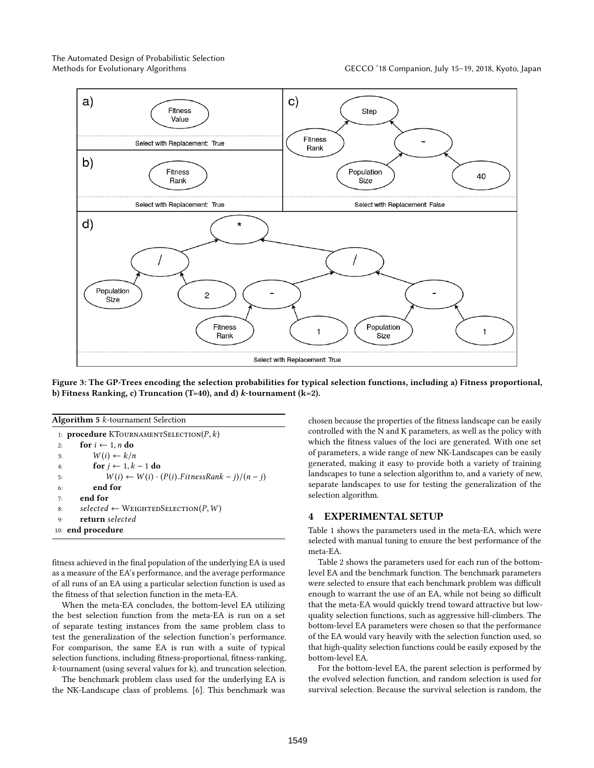The Automated Design of Probabilistic Selection Methods for Evolutionary Algorithms GECCO '18 Companion, July 15–19, 2018, Kyoto, Japan

<span id="page-5-1"></span>

Figure 3: The GP-Trees encoding the selection probabilities for typical selection functions, including a) Fitness proportional, b) Fitness Ranking, c) Truncation (T=40), and d)  $k$ -tournament (k=2).

<span id="page-5-2"></span>Algorithm 5 k-tournament Selection 1: **procedure** KTournamentSelection(*P*, *k*)<br>2: **for**  $i \leftarrow 1$ , *n* **do** 2: for  $i \leftarrow 1, n$  do<br>3:  $W(i) \leftarrow k/n$ 3:  $W(i) \leftarrow k/n$ <br>4: **for**  $i \leftarrow 1, k$ 4: for  $j \leftarrow 1, k - 1$  do<br>5:  $W(i) \leftarrow W(i)$ . 5:  $W(i) \leftarrow W(i) \cdot (P(i).FitnessRank - j)/(n - j)$ <br>6: **end for** 6: end for 7: end for 8:  $selected \leftarrow \text{WEIGHTEDSELECTION}(P, W)$ <br>9: **return** selected return selected 10: end procedure

fitness achieved in the final population of the underlying EA is used as a measure of the EA's performance, and the average performance of all runs of an EA using a particular selection function is used as the fitness of that selection function in the meta-EA.

When the meta-EA concludes, the bottom-level EA utilizing the best selection function from the meta-EA is run on a set of separate testing instances from the same problem class to test the generalization of the selection function's performance. For comparison, the same EA is run with a suite of typical selection functions, including fitness-proportional, fitness-ranking, k-tournament (using several values for k), and truncation selection.

The benchmark problem class used for the underlying EA is the NK-Landscape class of problems. [\[6\]](#page-8-18). This benchmark was

chosen because the properties of the fitness landscape can be easily controlled with the N and K parameters, as well as the policy with which the fitness values of the loci are generated. With one set of parameters, a wide range of new NK-Landscapes can be easily generated, making it easy to provide both a variety of training landscapes to tune a selection algorithm to, and a variety of new, separate landscapes to use for testing the generalization of the selection algorithm.

## <span id="page-5-0"></span>4 EXPERIMENTAL SETUP

Table [1](#page-6-2) shows the parameters used in the meta-EA, which were selected with manual tuning to ensure the best performance of the meta-EA.

Table [2](#page-6-3) shows the parameters used for each run of the bottomlevel EA and the benchmark function. The benchmark parameters were selected to ensure that each benchmark problem was difficult enough to warrant the use of an EA, while not being so difficult that the meta-EA would quickly trend toward attractive but lowquality selection functions, such as aggressive hill-climbers. The bottom-level EA parameters were chosen so that the performance of the EA would vary heavily with the selection function used, so that high-quality selection functions could be easily exposed by the bottom-level EA.

For the bottom-level EA, the parent selection is performed by the evolved selection function, and random selection is used for survival selection. Because the survival selection is random, the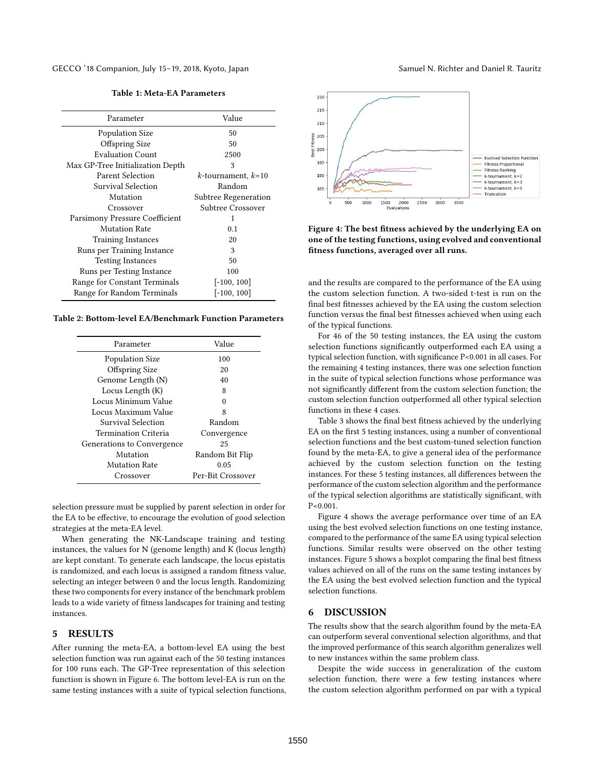<span id="page-6-2"></span>GECCO '18 Companion, July 15-19, 2018, Kyoto, Japan Samuel N. Richter and Daniel R. Tauritz

Table 1: Meta-EA Parameters

| Parameter                        | Value                    |  |
|----------------------------------|--------------------------|--|
| <b>Population Size</b>           | 50                       |  |
| Offspring Size                   | 50                       |  |
| <b>Evaluation Count</b>          | 2500                     |  |
| Max GP-Tree Initialization Depth | 3                        |  |
| <b>Parent Selection</b>          | $k$ -tournament, $k$ =10 |  |
| Survival Selection               | Random                   |  |
| Mutation                         | Subtree Regeneration     |  |
| Crossover                        | Subtree Crossover        |  |
| Parsimony Pressure Coefficient   | 1                        |  |
| Mutation Rate                    | 0.1                      |  |
| <b>Training Instances</b>        | 20                       |  |
| Runs per Training Instance       | 3                        |  |
| <b>Testing Instances</b>         | 50                       |  |
| Runs per Testing Instance        | 100                      |  |
| Range for Constant Terminals     | $[-100, 100]$            |  |
| Range for Random Terminals       | $[-100, 100]$            |  |
|                                  |                          |  |

<span id="page-6-3"></span>Table 2: Bottom-level EA/Benchmark Function Parameters

| Parameter                   | Value             |  |
|-----------------------------|-------------------|--|
| <b>Population Size</b>      | 100               |  |
| Offspring Size              | 20                |  |
| Genome Length (N)           | 40                |  |
| Locus Length (K)            | 8                 |  |
| Locus Minimum Value         | $\Omega$          |  |
| Locus Maximum Value         | 8                 |  |
| Survival Selection          | Random            |  |
| <b>Termination Criteria</b> | Convergence       |  |
| Generations to Convergence  | 25                |  |
| Mutation                    | Random Bit Flip   |  |
| <b>Mutation Rate</b>        | 0.05              |  |
| Crossover                   | Per-Bit Crossover |  |

selection pressure must be supplied by parent selection in order for the EA to be effective, to encourage the evolution of good selection strategies at the meta-EA level.

When generating the NK-Landscape training and testing instances, the values for N (genome length) and K (locus length) are kept constant. To generate each landscape, the locus epistatis is randomized, and each locus is assigned a random fitness value, selecting an integer between 0 and the locus length. Randomizing these two components for every instance of the benchmark problem leads to a wide variety of fitness landscapes for training and testing instances.

## <span id="page-6-0"></span>5 RESULTS

After running the meta-EA, a bottom-level EA using the best selection function was run against each of the 50 testing instances for 100 runs each. The GP-Tree representation of this selection function is shown in Figure [6.](#page-7-0) The bottom level-EA is run on the same testing instances with a suite of typical selection functions,

<span id="page-6-4"></span>

Figure 4: The best fitness achieved by the underlying EA on one of the testing functions, using evolved and conventional fitness functions, averaged over all runs.

and the results are compared to the performance of the EA using the custom selection function. A two-sided t-test is run on the final best fitnesses achieved by the EA using the custom selection function versus the final best fitnesses achieved when using each of the typical functions.

For 46 of the 50 testing instances, the EA using the custom selection functions significantly outperformed each EA using a typical selection function, with significance P<0.001 in all cases. For the remaining 4 testing instances, there was one selection function in the suite of typical selection functions whose performance was not significantly different from the custom selection function; the custom selection function outperformed all other typical selection functions in these 4 cases.

Table [3](#page-7-1) shows the final best fitness achieved by the underlying EA on the first 5 testing instances, using a number of conventional selection functions and the best custom-tuned selection function found by the meta-EA, to give a general idea of the performance achieved by the custom selection function on the testing instances. For these 5 testing instances, all differences between the performance of the custom selection algorithm and the performance of the typical selection algorithms are statistically significant, with  $P < 0.001$ 

Figure [4](#page-6-4) shows the average performance over time of an EA using the best evolved selection functions on one testing instance, compared to the performance of the same EA using typical selection functions. Similar results were observed on the other testing instances. Figure [5](#page-7-2) shows a boxplot comparing the final best fitness values achieved on all of the runs on the same testing instances by the EA using the best evolved selection function and the typical selection functions.

#### <span id="page-6-1"></span>6 DISCUSSION

The results show that the search algorithm found by the meta-EA can outperform several conventional selection algorithms, and that the improved performance of this search algorithm generalizes well to new instances within the same problem class.

Despite the wide success in generalization of the custom selection function, there were a few testing instances where the custom selection algorithm performed on par with a typical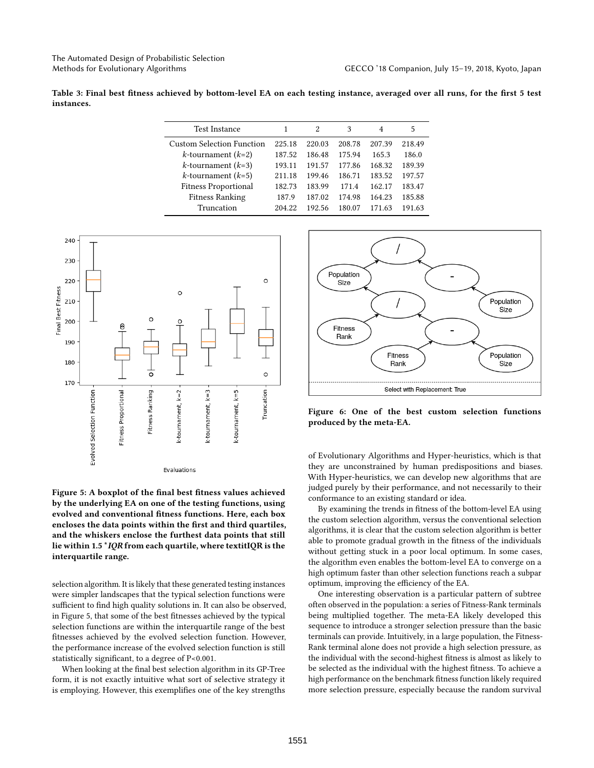The Automated Design of Probabilistic Selection Methods for Evolutionary Algorithms GECCO '18 Companion, July 15–19, 2018, Kyoto, Japan

<span id="page-7-1"></span>Table 3: Final best fitness achieved by bottom-level EA on each testing instance, averaged over all runs, for the first 5 test instances.

| <b>Test Instance</b>             |        | 2      | 3      | 4      | 5      |
|----------------------------------|--------|--------|--------|--------|--------|
| <b>Custom Selection Function</b> | 225.18 | 220.03 | 208.78 | 207.39 | 218.49 |
| $k$ -tournament $(k=2)$          | 187.52 | 186.48 | 175.94 | 165.3  | 186.0  |
| $k$ -tournament $(k=3)$          | 193.11 | 191.57 | 177.86 | 168.32 | 189.39 |
| $k$ -tournament ( $k=5$ )        | 211.18 | 199.46 | 186.71 | 183.52 | 197.57 |
| <b>Fitness Proportional</b>      | 182.73 | 183.99 | 171.4  | 162.17 | 183.47 |
| <b>Fitness Ranking</b>           | 187.9  | 187.02 | 174.98 | 164.23 | 185.88 |
| Truncation                       | 204.22 | 192.56 | 180.07 | 171.63 | 191.63 |

<span id="page-7-2"></span>

Figure 5: A boxplot of the final best fitness values achieved by the underlying EA on one of the testing functions, using evolved and conventional fitness functions. Here, each box encloses the data points within the first and third quartiles, and the whiskers enclose the furthest data points that still lie within 1.5 \*IQR from each quartile, where textitIQR is the interquartile range.

selection algorithm. It is likely that these generated testing instances were simpler landscapes that the typical selection functions were sufficient to find high quality solutions in. It can also be observed, in Figure [5,](#page-7-2) that some of the best fitnesses achieved by the typical selection functions are within the interquartile range of the best fitnesses achieved by the evolved selection function. However, the performance increase of the evolved selection function is still statistically significant, to a degree of P<0.001.

When looking at the final best selection algorithm in its GP-Tree form, it is not exactly intuitive what sort of selective strategy it is employing. However, this exemplifies one of the key strengths

<span id="page-7-0"></span>

Figure 6: One of the best custom selection functions produced by the meta-EA.

of Evolutionary Algorithms and Hyper-heuristics, which is that they are unconstrained by human predispositions and biases. With Hyper-heuristics, we can develop new algorithms that are judged purely by their performance, and not necessarily to their conformance to an existing standard or idea.

By examining the trends in fitness of the bottom-level EA using the custom selection algorithm, versus the conventional selection algorithms, it is clear that the custom selection algorithm is better able to promote gradual growth in the fitness of the individuals without getting stuck in a poor local optimum. In some cases, the algorithm even enables the bottom-level EA to converge on a high optimum faster than other selection functions reach a subpar optimum, improving the efficiency of the EA.

One interesting observation is a particular pattern of subtree often observed in the population: a series of Fitness-Rank terminals being multiplied together. The meta-EA likely developed this sequence to introduce a stronger selection pressure than the basic terminals can provide. Intuitively, in a large population, the Fitness-Rank terminal alone does not provide a high selection pressure, as the individual with the second-highest fitness is almost as likely to be selected as the individual with the highest fitness. To achieve a high performance on the benchmark fitness function likely required more selection pressure, especially because the random survival